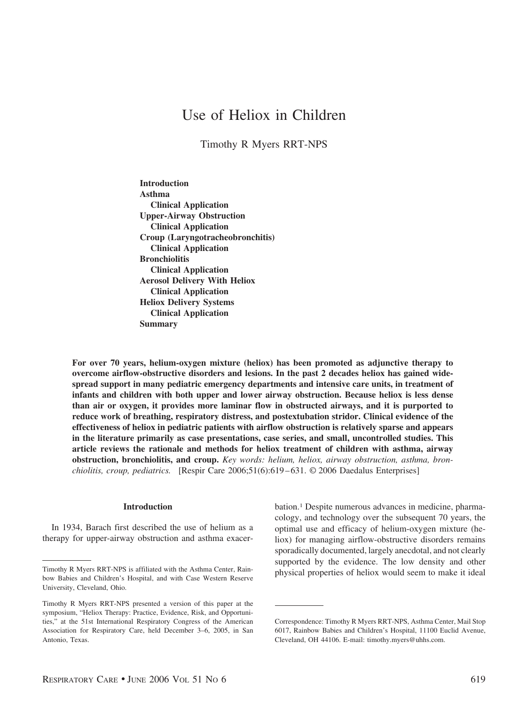# Use of Heliox in Children

Timothy R Myers RRT-NPS

**Introduction Asthma Clinical Application Upper-Airway Obstruction Clinical Application Croup (Laryngotracheobronchitis) Clinical Application Bronchiolitis Clinical Application Aerosol Delivery With Heliox Clinical Application Heliox Delivery Systems Clinical Application Summary**

**For over 70 years, helium-oxygen mixture (heliox) has been promoted as adjunctive therapy to overcome airflow-obstructive disorders and lesions. In the past 2 decades heliox has gained widespread support in many pediatric emergency departments and intensive care units, in treatment of infants and children with both upper and lower airway obstruction. Because heliox is less dense than air or oxygen, it provides more laminar flow in obstructed airways, and it is purported to reduce work of breathing, respiratory distress, and postextubation stridor. Clinical evidence of the effectiveness of heliox in pediatric patients with airflow obstruction is relatively sparse and appears in the literature primarily as case presentations, case series, and small, uncontrolled studies. This article reviews the rationale and methods for heliox treatment of children with asthma, airway obstruction, bronchiolitis, and croup.** *Key words: helium, heliox, airway obstruction, asthma, bronchiolitis, croup, pediatrics.* [Respir Care 2006;51(6):619–631. © 2006 Daedalus Enterprises]

### **Introduction**

In 1934, Barach first described the use of helium as a therapy for upper-airway obstruction and asthma exacer-

bation.1 Despite numerous advances in medicine, pharmacology, and technology over the subsequent 70 years, the optimal use and efficacy of helium-oxygen mixture (heliox) for managing airflow-obstructive disorders remains sporadically documented, largely anecdotal, and not clearly supported by the evidence. The low density and other Timothy R Myers RRT-NPS is affiliated with the Asthma Center, Rain-<br>physical properties of heliox would seem to make it ideal

bow Babies and Children's Hospital, and with Case Western Reserve University, Cleveland, Ohio.

Timothy R Myers RRT-NPS presented a version of this paper at the symposium, "Heliox Therapy: Practice, Evidence, Risk, and Opportunities," at the 51st International Respiratory Congress of the American Association for Respiratory Care, held December 3–6, 2005, in San Antonio, Texas.

Correspondence: Timothy R Myers RRT-NPS, Asthma Center, Mail Stop 6017, Rainbow Babies and Children's Hospital, 11100 Euclid Avenue, Cleveland, OH 44106. E-mail: timothy.myers@uhhs.com.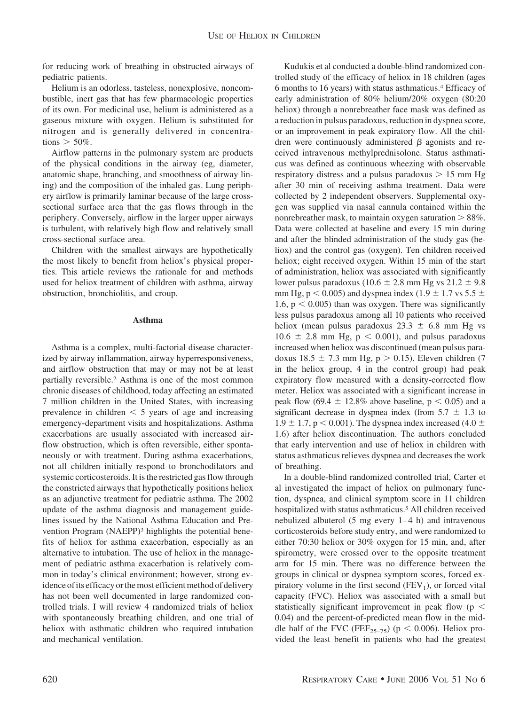for reducing work of breathing in obstructed airways of pediatric patients.

Helium is an odorless, tasteless, nonexplosive, noncombustible, inert gas that has few pharmacologic properties of its own. For medicinal use, helium is administered as a gaseous mixture with oxygen. Helium is substituted for nitrogen and is generally delivered in concentrations  $>$  50%.

Airflow patterns in the pulmonary system are products of the physical conditions in the airway (eg, diameter, anatomic shape, branching, and smoothness of airway lining) and the composition of the inhaled gas. Lung periphery airflow is primarily laminar because of the large crosssectional surface area that the gas flows through in the periphery. Conversely, airflow in the larger upper airways is turbulent, with relatively high flow and relatively small cross-sectional surface area.

Children with the smallest airways are hypothetically the most likely to benefit from heliox's physical properties. This article reviews the rationale for and methods used for heliox treatment of children with asthma, airway obstruction, bronchiolitis, and croup.

# **Asthma**

Asthma is a complex, multi-factorial disease characterized by airway inflammation, airway hyperresponsiveness, and airflow obstruction that may or may not be at least partially reversible.2 Asthma is one of the most common chronic diseases of childhood, today affecting an estimated 7 million children in the United States, with increasing prevalence in children  $\leq 5$  years of age and increasing emergency-department visits and hospitalizations. Asthma exacerbations are usually associated with increased airflow obstruction, which is often reversible, either spontaneously or with treatment. During asthma exacerbations, not all children initially respond to bronchodilators and systemic corticosteroids. It is the restricted gas flow through the constricted airways that hypothetically positions heliox as an adjunctive treatment for pediatric asthma. The 2002 update of the asthma diagnosis and management guidelines issued by the National Asthma Education and Prevention Program (NAEPP)<sup>3</sup> highlights the potential benefits of heliox for asthma exacerbation, especially as an alternative to intubation. The use of heliox in the management of pediatric asthma exacerbation is relatively common in today's clinical environment; however, strong evidence of its efficacy or the most efficient method of delivery has not been well documented in large randomized controlled trials. I will review 4 randomized trials of heliox with spontaneously breathing children, and one trial of heliox with asthmatic children who required intubation and mechanical ventilation.

Kudukis et al conducted a double-blind randomized controlled study of the efficacy of heliox in 18 children (ages 6 months to 16 years) with status asthmaticus.4 Efficacy of early administration of 80% helium/20% oxygen (80:20 heliox) through a nonrebreather face mask was defined as a reduction in pulsus paradoxus, reduction in dyspnea score, or an improvement in peak expiratory flow. All the children were continuously administered  $\beta$  agonists and received intravenous methylprednisolone. Status asthmaticus was defined as continuous wheezing with observable respiratory distress and a pulsus paradoxus  $> 15$  mm Hg after 30 min of receiving asthma treatment. Data were collected by 2 independent observers. Supplemental oxygen was supplied via nasal cannula contained within the nonrebreather mask, to maintain oxygen saturation  $> 88\%$ . Data were collected at baseline and every 15 min during and after the blinded administration of the study gas (heliox) and the control gas (oxygen). Ten children received heliox; eight received oxygen. Within 15 min of the start of administration, heliox was associated with significantly lower pulsus paradoxus (10.6  $\pm$  2.8 mm Hg vs 21.2  $\pm$  9.8 mm Hg,  $p < 0.005$ ) and dyspnea index (1.9  $\pm$  1.7 vs 5.5  $\pm$ 1.6,  $p < 0.005$ ) than was oxygen. There was significantly less pulsus paradoxus among all 10 patients who received heliox (mean pulsus paradoxus  $23.3 \pm 6.8$  mm Hg vs  $10.6 \pm 2.8$  mm Hg,  $p < 0.001$ ), and pulsus paradoxus increased when heliox was discontinued (mean pulsus paradoxus 18.5  $\pm$  7.3 mm Hg, p > 0.15). Eleven children (7 in the heliox group, 4 in the control group) had peak expiratory flow measured with a density-corrected flow meter. Heliox was associated with a significant increase in peak flow  $(69.4 \pm 12.8\%$  above baseline,  $p < 0.05$ ) and a significant decrease in dyspnea index (from  $5.7 \pm 1.3$  to  $1.9 \pm 1.7$ , p < 0.001). The dyspnea index increased (4.0  $\pm$ 1.6) after heliox discontinuation. The authors concluded that early intervention and use of heliox in children with status asthmaticus relieves dyspnea and decreases the work of breathing.

In a double-blind randomized controlled trial, Carter et al investigated the impact of heliox on pulmonary function, dyspnea, and clinical symptom score in 11 children hospitalized with status asthmaticus.<sup>5</sup> All children received nebulized albuterol (5 mg every 1–4 h) and intravenous corticosteroids before study entry, and were randomized to either 70:30 heliox or 30% oxygen for 15 min, and, after spirometry, were crossed over to the opposite treatment arm for 15 min. There was no difference between the groups in clinical or dyspnea symptom scores, forced expiratory volume in the first second  $(FEV_1)$ , or forced vital capacity (FVC). Heliox was associated with a small but statistically significant improvement in peak flow ( $p <$ 0.04) and the percent-of-predicted mean flow in the middle half of the FVC (FEF<sub>25-75</sub>) ( $p < 0.006$ ). Heliox provided the least benefit in patients who had the greatest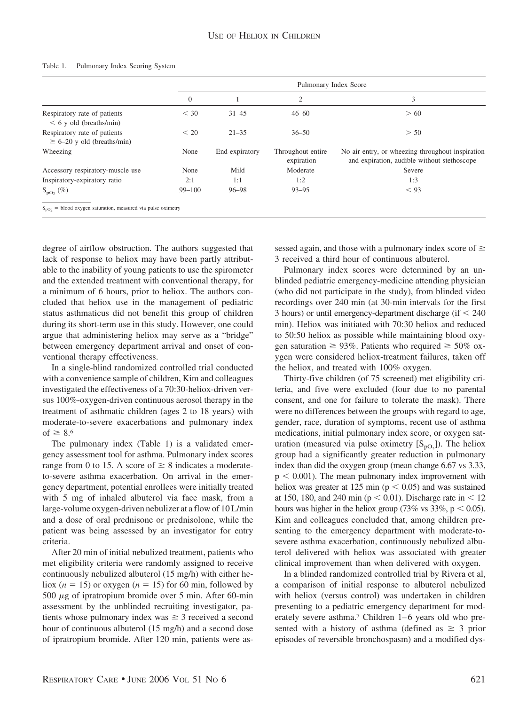| $\theta$                                                                |                |                                 |                                                                                                 |
|-------------------------------------------------------------------------|----------------|---------------------------------|-------------------------------------------------------------------------------------------------|
|                                                                         |                | 2                               | 3                                                                                               |
| $<$ 30<br>Respiratory rate of patients<br>$< 6$ y old (breaths/min)     | $31 - 45$      | $46 - 60$                       | > 60                                                                                            |
| Respiratory rate of patients<br>< 20<br>$\geq 6-20$ y old (breaths/min) | $21 - 35$      | $36 - 50$                       | > 50                                                                                            |
| Wheezing<br>None                                                        | End-expiratory | Throughout entire<br>expiration | No air entry, or wheezing throughout inspiration<br>and expiration, audible without stethoscope |
| Accessory respiratory-muscle use<br>None                                | Mild           | Moderate                        | Severe                                                                                          |
| Inspiratory-expiratory ratio<br>2:1                                     | 1:1            | 1:2                             | 1:3                                                                                             |
| $99 - 100$<br>$S_{\text{pO}_2}$ (%)                                     | $96 - 98$      | $93 - 95$                       | < 93                                                                                            |

#### Table 1. Pulmonary Index Scoring System

degree of airflow obstruction. The authors suggested that lack of response to heliox may have been partly attributable to the inability of young patients to use the spirometer and the extended treatment with conventional therapy, for a minimum of 6 hours, prior to heliox. The authors concluded that heliox use in the management of pediatric status asthmaticus did not benefit this group of children during its short-term use in this study. However, one could argue that administering heliox may serve as a "bridge" between emergency department arrival and onset of conventional therapy effectiveness.

In a single-blind randomized controlled trial conducted with a convenience sample of children, Kim and colleagues investigated the effectiveness of a 70:30-heliox-driven versus 100%-oxygen-driven continuous aerosol therapy in the treatment of asthmatic children (ages 2 to 18 years) with moderate-to-severe exacerbations and pulmonary index of  $\geq 8.6$ 

The pulmonary index (Table 1) is a validated emergency assessment tool for asthma. Pulmonary index scores range from 0 to 15. A score of  $\geq 8$  indicates a moderateto-severe asthma exacerbation. On arrival in the emergency department, potential enrollees were initially treated with 5 mg of inhaled albuterol via face mask, from a large-volume oxygen-driven nebulizer at a flow of 10 L/min and a dose of oral prednisone or prednisolone, while the patient was being assessed by an investigator for entry criteria.

After 20 min of initial nebulized treatment, patients who met eligibility criteria were randomly assigned to receive continuously nebulized albuterol (15 mg/h) with either heliox ( $n = 15$ ) or oxygen ( $n = 15$ ) for 60 min, followed by 500  $\mu$ g of ipratropium bromide over 5 min. After 60-min assessment by the unblinded recruiting investigator, patients whose pulmonary index was  $\geq$  3 received a second hour of continuous albuterol (15 mg/h) and a second dose of ipratropium bromide. After 120 min, patients were as-

sessed again, and those with a pulmonary index score of  $\geq$ 3 received a third hour of continuous albuterol.

Pulmonary index scores were determined by an unblinded pediatric emergency-medicine attending physician (who did not participate in the study), from blinded video recordings over 240 min (at 30-min intervals for the first 3 hours) or until emergency-department discharge (if  $<$  240 min). Heliox was initiated with 70:30 heliox and reduced to 50:50 heliox as possible while maintaining blood oxygen saturation  $\geq 93\%$ . Patients who required  $\geq 50\%$  oxygen were considered heliox-treatment failures, taken off the heliox, and treated with 100% oxygen.

Thirty-five children (of 75 screened) met eligibility criteria, and five were excluded (four due to no parental consent, and one for failure to tolerate the mask). There were no differences between the groups with regard to age, gender, race, duration of symptoms, recent use of asthma medications, initial pulmonary index score, or oxygen saturation (measured via pulse oximetry  $[S_{pO_2}]$ ). The heliox group had a significantly greater reduction in pulmonary index than did the oxygen group (mean change 6.67 vs 3.33,  $p < 0.001$ ). The mean pulmonary index improvement with heliox was greater at 125 min ( $p < 0.05$ ) and was sustained at 150, 180, and 240 min ( $p < 0.01$ ). Discharge rate in  $< 12$ hours was higher in the heliox group (73% vs 33%,  $p < 0.05$ ). Kim and colleagues concluded that, among children presenting to the emergency department with moderate-tosevere asthma exacerbation, continuously nebulized albuterol delivered with heliox was associated with greater clinical improvement than when delivered with oxygen.

In a blinded randomized controlled trial by Rivera et al, a comparison of initial response to albuterol nebulized with heliox (versus control) was undertaken in children presenting to a pediatric emergency department for moderately severe asthma.7 Children 1–6 years old who presented with a history of asthma (defined as  $\geq$  3 prior episodes of reversible bronchospasm) and a modified dys-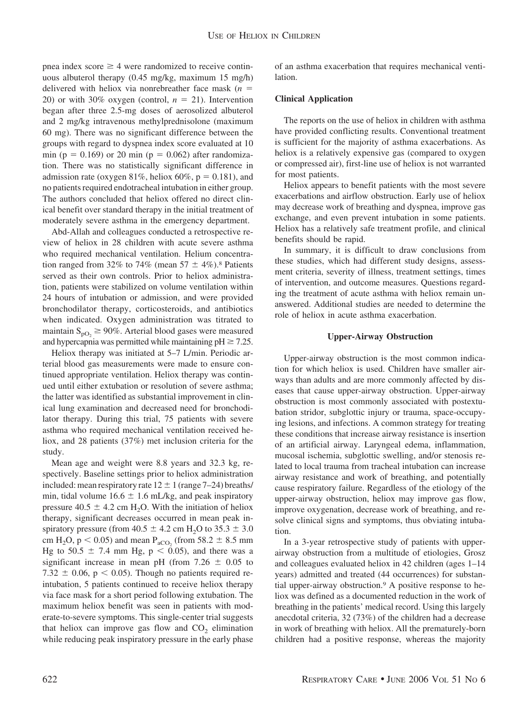pnea index score  $\geq 4$  were randomized to receive continuous albuterol therapy (0.45 mg/kg, maximum 15 mg/h) delivered with heliox via nonrebreather face mask (*n* 20) or with 30% oxygen (control,  $n = 21$ ). Intervention began after three 2.5-mg doses of aerosolized albuterol and 2 mg/kg intravenous methylprednisolone (maximum 60 mg). There was no significant difference between the groups with regard to dyspnea index score evaluated at 10 min ( $p = 0.169$ ) or 20 min ( $p = 0.062$ ) after randomization. There was no statistically significant difference in admission rate (oxygen 81%, heliox 60%,  $p = 0.181$ ), and no patients required endotracheal intubation in either group. The authors concluded that heliox offered no direct clinical benefit over standard therapy in the initial treatment of moderately severe asthma in the emergency department.

Abd-Allah and colleagues conducted a retrospective review of heliox in 28 children with acute severe asthma who required mechanical ventilation. Helium concentration ranged from 32% to 74% (mean 57  $\pm$  4%).<sup>8</sup> Patients served as their own controls. Prior to heliox administration, patients were stabilized on volume ventilation within 24 hours of intubation or admission, and were provided bronchodilator therapy, corticosteroids, and antibiotics when indicated. Oxygen administration was titrated to maintain  $S_{pO_2} \ge 90\%$ . Arterial blood gases were measured and hypercapnia was permitted while maintaining  $pH \ge 7.25$ .

Heliox therapy was initiated at 5–7 L/min. Periodic arterial blood gas measurements were made to ensure continued appropriate ventilation. Heliox therapy was continued until either extubation or resolution of severe asthma; the latter was identified as substantial improvement in clinical lung examination and decreased need for bronchodilator therapy. During this trial, 75 patients with severe asthma who required mechanical ventilation received heliox, and 28 patients (37%) met inclusion criteria for the study.

Mean age and weight were 8.8 years and 32.3 kg, respectively. Baseline settings prior to heliox administration included: mean respiratory rate  $12 \pm 1$  (range 7–24) breaths/ min, tidal volume  $16.6 \pm 1.6$  mL/kg, and peak inspiratory pressure  $40.5 \pm 4.2$  cm H<sub>2</sub>O. With the initiation of heliox therapy, significant decreases occurred in mean peak inspiratory pressure (from 40.5  $\pm$  4.2 cm H<sub>2</sub>O to 35.3  $\pm$  3.0 cm H<sub>2</sub>O,  $p < 0.05$ ) and mean P<sub>aCO<sub>2</sub> (from 58.2  $\pm$  8.5 mm</sub> Hg to  $50.5 \pm 7.4$  mm Hg,  $p < 0.05$ ), and there was a significant increase in mean pH (from  $7.26 \pm 0.05$  to 7.32  $\pm$  0.06, p < 0.05). Though no patients required reintubation, 5 patients continued to receive heliox therapy via face mask for a short period following extubation. The maximum heliox benefit was seen in patients with moderate-to-severe symptoms. This single-center trial suggests that heliox can improve gas flow and  $CO<sub>2</sub>$  elimination while reducing peak inspiratory pressure in the early phase

of an asthma exacerbation that requires mechanical ventilation.

# **Clinical Application**

The reports on the use of heliox in children with asthma have provided conflicting results. Conventional treatment is sufficient for the majority of asthma exacerbations. As heliox is a relatively expensive gas (compared to oxygen or compressed air), first-line use of heliox is not warranted for most patients.

Heliox appears to benefit patients with the most severe exacerbations and airflow obstruction. Early use of heliox may decrease work of breathing and dyspnea, improve gas exchange, and even prevent intubation in some patients. Heliox has a relatively safe treatment profile, and clinical benefits should be rapid.

In summary, it is difficult to draw conclusions from these studies, which had different study designs, assessment criteria, severity of illness, treatment settings, times of intervention, and outcome measures. Questions regarding the treatment of acute asthma with heliox remain unanswered. Additional studies are needed to determine the role of heliox in acute asthma exacerbation.

# **Upper-Airway Obstruction**

Upper-airway obstruction is the most common indication for which heliox is used. Children have smaller airways than adults and are more commonly affected by diseases that cause upper-airway obstruction. Upper-airway obstruction is most commonly associated with postextubation stridor, subglottic injury or trauma, space-occupying lesions, and infections. A common strategy for treating these conditions that increase airway resistance is insertion of an artificial airway. Laryngeal edema, inflammation, mucosal ischemia, subglottic swelling, and/or stenosis related to local trauma from tracheal intubation can increase airway resistance and work of breathing, and potentially cause respiratory failure. Regardless of the etiology of the upper-airway obstruction, heliox may improve gas flow, improve oxygenation, decrease work of breathing, and resolve clinical signs and symptoms, thus obviating intubation.

In a 3-year retrospective study of patients with upperairway obstruction from a multitude of etiologies, Grosz and colleagues evaluated heliox in 42 children (ages 1–14 years) admitted and treated (44 occurrences) for substantial upper-airway obstruction.9 A positive response to heliox was defined as a documented reduction in the work of breathing in the patients' medical record. Using this largely anecdotal criteria, 32 (73%) of the children had a decrease in work of breathing with heliox. All the prematurely-born children had a positive response, whereas the majority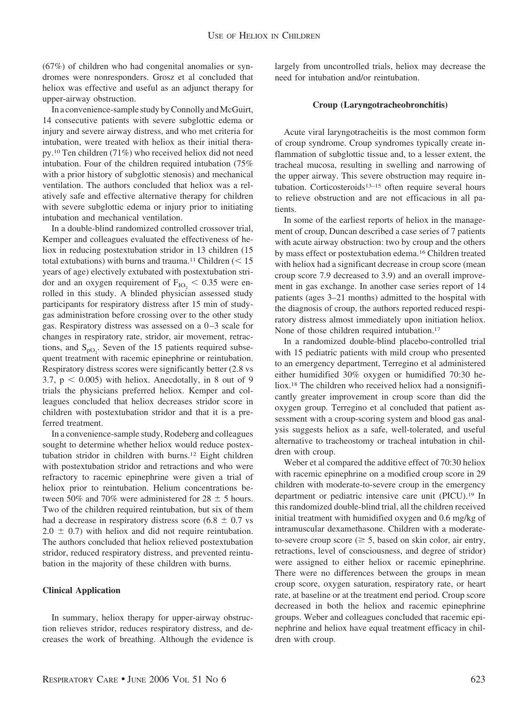(67%) of children who had congenital anomalies or syndromes were nonresponders. Grosz et al concluded that heliox was effective and useful as an adjunct therapy for upper-airway obstruction.

In a convenience-sample study by Connolly and McGuirt, 14 consecutive patients with severe subglottic edema or injury and severe airway distress, and who met criteria for intubation, were treated with heliox as their initial therapy.10 Ten children (71%) who received heliox did not need intubation. Four of the children required intubation (75% with a prior history of subglottic stenosis) and mechanical ventilation. The authors concluded that heliox was a relatively safe and effective alternative therapy for children with severe subglottic edema or injury prior to initiating intubation and mechanical ventilation.

In a double-blind randomized controlled crossover trial, Kemper and colleagues evaluated the effectiveness of heliox in reducing postextubation stridor in 13 children (15 total extubations) with burns and trauma.<sup>11</sup> Children  $(< 15$ years of age) electively extubated with postextubation stridor and an oxygen requirement of  $F_{IO_2}$  < 0.35 were enrolled in this study. A blinded physician assessed study participants for respiratory distress after 15 min of studygas administration before crossing over to the other study gas. Respiratory distress was assessed on a 0–3 scale for changes in respiratory rate, stridor, air movement, retractions, and  $S_{pQ_2}$ . Seven of the 15 patients required subsequent treatment with racemic epinephrine or reintubation. Respiratory distress scores were significantly better (2.8 vs  $3.7, p \leq 0.005$ ) with heliox. Anecdotally, in 8 out of 9 trials the physicians preferred heliox. Kemper and colleagues concluded that heliox decreases stridor score in children with postextubation stridor and that it is a preferred treatment.

In a convenience-sample study, Rodeberg and colleagues sought to determine whether heliox would reduce postextubation stridor in children with burns.12 Eight children with postextubation stridor and retractions and who were refractory to racemic epinephrine were given a trial of heliox prior to reintubation. Helium concentrations between 50% and 70% were administered for 28  $\pm$  5 hours. Two of the children required reintubation, but six of them had a decrease in respiratory distress score (6.8  $\pm$  0.7 vs  $2.0 \pm 0.7$ ) with heliox and did not require reintubation. The authors concluded that heliox relieved postextubation stridor, reduced respiratory distress, and prevented reintubation in the majority of these children with burns.

#### **Clinical Application**

In summary, heliox therapy for upper-airway obstruction relieves stridor, reduces respiratory distress, and decreases the work of breathing. Although the evidence is largely from uncontrolled trials, heliox may decrease the need for intubation and/or reintubation.

#### **Croup (Laryngotracheobronchitis)**

Acute viral laryngotracheitis is the most common form of croup syndrome. Croup syndromes typically create inflammation of subglottic tissue and, to a lesser extent, the tracheal mucosa, resulting in swelling and narrowing of the upper airway. This severe obstruction may require intubation. Corticosteroids<sup>13–15</sup> often require several hours to relieve obstruction and are not efficacious in all patients.

In some of the earliest reports of heliox in the management of croup, Duncan described a case series of 7 patients with acute airway obstruction: two by croup and the others by mass effect or postextubation edema.16 Children treated with heliox had a significant decrease in croup score (mean croup score 7.9 decreased to 3.9) and an overall improvement in gas exchange. In another case series report of 14 patients (ages 3–21 months) admitted to the hospital with the diagnosis of croup, the authors reported reduced respiratory distress almost immediately upon initiation heliox. None of those children required intubation.17

In a randomized double-blind placebo-controlled trial with 15 pediatric patients with mild croup who presented to an emergency department, Terregino et al administered either humidified 30% oxygen or humidified 70:30 heliox.18 The children who received heliox had a nonsignificantly greater improvement in croup score than did the oxygen group. Terregino et al concluded that patient assessment with a croup-scoring system and blood gas analysis suggests heliox as a safe, well-tolerated, and useful alternative to tracheostomy or tracheal intubation in children with croup.

Weber et al compared the additive effect of 70:30 heliox with racemic epinephrine on a modified croup score in 29 children with moderate-to-severe croup in the emergency department or pediatric intensive care unit (PICU).19 In this randomized double-blind trial, all the children received initial treatment with humidified oxygen and 0.6 mg/kg of intramuscular dexamethasone. Children with a moderateto-severe croup score ( $\geq$  5, based on skin color, air entry, retractions, level of consciousness, and degree of stridor) were assigned to either heliox or racemic epinephrine. There were no differences between the groups in mean croup score, oxygen saturation, respiratory rate, or heart rate, at baseline or at the treatment end period. Croup score decreased in both the heliox and racemic epinephrine groups. Weber and colleagues concluded that racemic epinephrine and heliox have equal treatment efficacy in children with croup.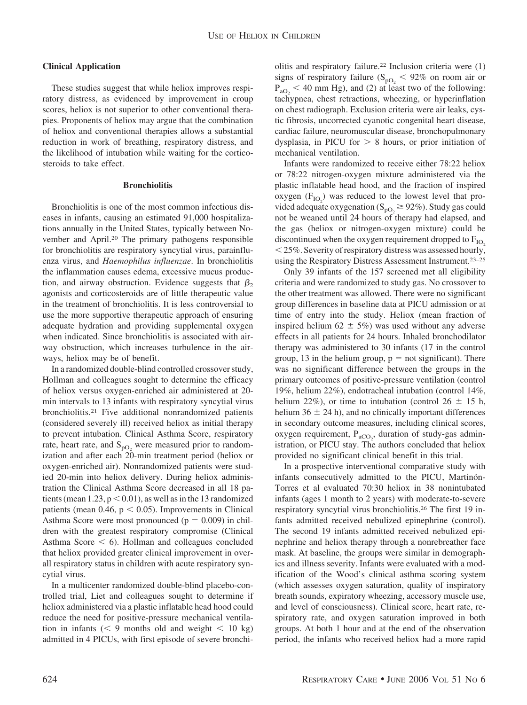# **Clinical Application**

These studies suggest that while heliox improves respiratory distress, as evidenced by improvement in croup scores, heliox is not superior to other conventional therapies. Proponents of heliox may argue that the combination of heliox and conventional therapies allows a substantial reduction in work of breathing, respiratory distress, and the likelihood of intubation while waiting for the corticosteroids to take effect.

#### **Bronchiolitis**

Bronchiolitis is one of the most common infectious diseases in infants, causing an estimated 91,000 hospitalizations annually in the United States, typically between November and April.20 The primary pathogens responsible for bronchiolitis are respiratory syncytial virus, parainfluenza virus, and *Haemophilus influenzae*. In bronchiolitis the inflammation causes edema, excessive mucus production, and airway obstruction. Evidence suggests that  $\beta_2$ agonists and corticosteroids are of little therapeutic value in the treatment of bronchiolitis. It is less controversial to use the more supportive therapeutic approach of ensuring adequate hydration and providing supplemental oxygen when indicated. Since bronchiolitis is associated with airway obstruction, which increases turbulence in the airways, heliox may be of benefit.

In a randomized double-blind controlled crossover study, Hollman and colleagues sought to determine the efficacy of heliox versus oxygen-enriched air administered at 20 min intervals to 13 infants with respiratory syncytial virus bronchiolitis.21 Five additional nonrandomized patients (considered severely ill) received heliox as initial therapy to prevent intubation. Clinical Asthma Score, respiratory rate, heart rate, and  $S_{\text{pO}_2}$  were measured prior to randomization and after each 20-min treatment period (heliox or oxygen-enriched air). Nonrandomized patients were studied 20-min into heliox delivery. During heliox administration the Clinical Asthma Score decreased in all 18 patients (mean  $1.23$ ,  $p < 0.01$ ), as well as in the 13 randomized patients (mean  $0.46$ ,  $p < 0.05$ ). Improvements in Clinical Asthma Score were most pronounced ( $p = 0.009$ ) in children with the greatest respiratory compromise (Clinical Asthma Score  $\leq 6$ ). Hollman and colleagues concluded that heliox provided greater clinical improvement in overall respiratory status in children with acute respiratory syncytial virus.

In a multicenter randomized double-blind placebo-controlled trial, Liet and colleagues sought to determine if heliox administered via a plastic inflatable head hood could reduce the need for positive-pressure mechanical ventilation in infants ( $\leq 9$  months old and weight  $\leq 10$  kg) admitted in 4 PICUs, with first episode of severe bronchiolitis and respiratory failure.22 Inclusion criteria were (1) signs of respiratory failure ( $S_{pQ_2}$  < 92% on room air or  $P_{aO_2}$  < 40 mm Hg), and (2) at least two of the following: tachypnea, chest retractions, wheezing, or hyperinflation on chest radiograph. Exclusion criteria were air leaks, cystic fibrosis, uncorrected cyanotic congenital heart disease, cardiac failure, neuromuscular disease, bronchopulmonary dysplasia, in PICU for  $> 8$  hours, or prior initiation of mechanical ventilation.

Infants were randomized to receive either 78:22 heliox or 78:22 nitrogen-oxygen mixture administered via the plastic inflatable head hood, and the fraction of inspired oxygen  $(F_{IO_2})$  was reduced to the lowest level that provided adequate oxygenation ( $S_{pO_2} \ge 92\%$ ). Study gas could not be weaned until 24 hours of therapy had elapsed, and the gas (heliox or nitrogen-oxygen mixture) could be discontinued when the oxygen requirement dropped to  $F_{IO}$ . - 25%. Severity of respiratory distress was assessed hourly, using the Respiratory Distress Assessment Instrument.23–25

Only 39 infants of the 157 screened met all eligibility criteria and were randomized to study gas. No crossover to the other treatment was allowed. There were no significant group differences in baseline data at PICU admission or at time of entry into the study. Heliox (mean fraction of inspired helium  $62 \pm 5\%$  was used without any adverse effects in all patients for 24 hours. Inhaled bronchodilator therapy was administered to 30 infants (17 in the control group, 13 in the helium group,  $p = not$  significant). There was no significant difference between the groups in the primary outcomes of positive-pressure ventilation (control 19%, helium 22%), endotracheal intubation (control 14%, helium 22%), or time to intubation (control 26  $\pm$  15 h, helium  $36 \pm 24$  h), and no clinically important differences in secondary outcome measures, including clinical scores, oxygen requirement,  $P_{aCO_2}$ , duration of study-gas administration, or PICU stay. The authors concluded that heliox provided no significant clinical benefit in this trial.

In a prospective interventional comparative study with infants consecutively admitted to the PICU, Martinón-Torres et al evaluated 70:30 heliox in 38 nonintubated infants (ages 1 month to 2 years) with moderate-to-severe respiratory syncytial virus bronchiolitis.26 The first 19 infants admitted received nebulized epinephrine (control). The second 19 infants admitted received nebulized epinephrine and heliox therapy through a nonrebreather face mask. At baseline, the groups were similar in demographics and illness severity. Infants were evaluated with a modification of the Wood's clinical asthma scoring system (which assesses oxygen saturation, quality of inspiratory breath sounds, expiratory wheezing, accessory muscle use, and level of consciousness). Clinical score, heart rate, respiratory rate, and oxygen saturation improved in both groups. At both 1 hour and at the end of the observation period, the infants who received heliox had a more rapid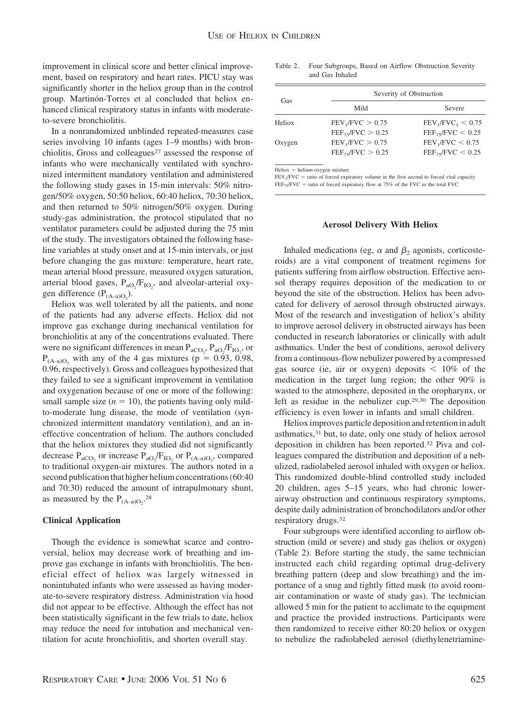improvement in clinical score and better clinical improvement, based on respiratory and heart rates. PICU stay was significantly shorter in the heliox group than in the control group. Martinón-Torres et al concluded that heliox enhanced clinical respiratory status in infants with moderateto-severe bronchiolitis.

In a nonrandomized unblinded repeated-measures case series involving 10 infants (ages 1–9 months) with bronchiolitis, Gross and colleagues<sup>27</sup> assessed the response of infants who were mechanically ventilated with synchronized intermittent mandatory ventilation and administered the following study gases in 15-min intervals: 50% nitrogen/50% oxygen, 50:50 heliox, 60:40 heliox, 70:30 heliox, and then returned to 50% nitrogen/50% oxygen. During study-gas administration, the protocol stipulated that no ventilator parameters could be adjusted during the 75 min of the study. The investigators obtained the following baseline variables at study onset and at 15-min intervals, or just before changing the gas mixture: temperature, heart rate, mean arterial blood pressure, measured oxygen saturation, arterial blood gases,  $P_{aO_2}/F_{IO_2}$ , and alveolar-arterial oxygen difference  $(P_{(A-a)O_2})$ .

Heliox was well tolerated by all the patients, and none of the patients had any adverse effects. Heliox did not improve gas exchange during mechanical ventilation for bronchiolitis at any of the concentrations evaluated. There were no significant differences in mean  $P_{aCO_2}$ ,  $P_{aO_2}/F_{IO_2}$ , or  $P_{(A-a)O}$ , with any of the 4 gas mixtures (p = 0.93, 0.98, 0.96, respectively). Gross and colleagues hypothesized that they failed to see a significant improvement in ventilation and oxygenation because of one or more of the following: small sample size  $(n = 10)$ , the patients having only mildto-moderate lung disease, the mode of ventilation (synchronized intermittent mandatory ventilation), and an ineffective concentration of helium. The authors concluded that the heliox mixtures they studied did not significantly decrease  $P_{aCO_2}$  or increase  $P_{aO_2}/F_{IO_2}$  or  $P_{(A-a)O_2}$ , compared to traditional oxygen-air mixtures. The authors noted in a second publication that higher helium concentrations (60:40 and 70:30) reduced the amount of intrapulmonary shunt, as measured by the  $P_{(A-a)O_2}$ .<sup>28</sup>

# **Clinical Application**

Though the evidence is somewhat scarce and controversial, heliox may decrease work of breathing and improve gas exchange in infants with bronchiolitis. The beneficial effect of heliox was largely witnessed in nonintubated infants who were assessed as having moderate-to-severe respiratory distress. Administration via hood did not appear to be effective. Although the effect has not been statistically significant in the few trials to date, heliox may reduce the need for intubation and mechanical ventilation for acute bronchiolitis, and shorten overall stay.

Table 2. Four Subgroups, Based on Airflow Obstruction Severity and Gas Inhaled

| Gas    | Severity of Obstruction      |                              |  |
|--------|------------------------------|------------------------------|--|
|        | Mild                         | Severe                       |  |
| Heliox | FEV <sub>1</sub> /FVC > 0.75 | $FEV_1/FVC_1 < 0.75$         |  |
|        | $FEF_{75}/FVC > 0.25$        | $FEF_{75}/FVC < 0.25$        |  |
| Oxygen | FEV <sub>1</sub> /FVC > 0.75 | FEV <sub>1</sub> /FVC < 0.75 |  |
|        | $FEF_{75}/FVC > 0.25$        | $FEF_{75}/FVC < 0.25$        |  |

 $Heliox = helium-oxygen mixture$ 

 $FEV<sub>1</sub>/FVC$  = ratio of forced expiratory volume in the first second to forced vital capacity  $FEF_{75}/FVC$  = ratio of forced expiratory flow at 75% of the FVC to the total FVC

# **Aerosol Delivery With Heliox**

Inhaled medications (eg,  $\alpha$  and  $\beta_2$  agonists, corticosteroids) are a vital component of treatment regimens for patients suffering from airflow obstruction. Effective aerosol therapy requires deposition of the medication to or beyond the site of the obstruction. Heliox has been advocated for delivery of aerosol through obstructed airways. Most of the research and investigation of heliox's ability to improve aerosol delivery in obstructed airways has been conducted in research laboratories or clinically with adult asthmatics. Under the best of conditions, aerosol delivery from a continuous-flow nebulizer powered by a compressed gas source (ie, air or oxygen) deposits  $\leq 10\%$  of the medication in the target lung region; the other 90% is wasted to the atmosphere, deposited in the oropharynx, or left as residue in the nebulizer cup.29,30 The deposition efficiency is even lower in infants and small children.

Heliox improves particle deposition and retention in adult asthmatics,31 but, to date, only one study of heliox aerosol deposition in children has been reported.32 Piva and colleagues compared the distribution and deposition of a nebulized, radiolabeled aerosol inhaled with oxygen or heliox. This randomized double-blind controlled study included 20 children, ages 5–15 years, who had chronic lowerairway obstruction and continuous respiratory symptoms, despite daily administration of bronchodilators and/or other respiratory drugs.32

Four subgroups were identified according to airflow obstruction (mild or severe) and study gas (heliox or oxygen) (Table 2). Before starting the study, the same technician instructed each child regarding optimal drug-delivery breathing pattern (deep and slow breathing) and the importance of a snug and tightly fitted mask (to avoid roomair contamination or waste of study gas). The technician allowed 5 min for the patient to acclimate to the equipment and practice the provided instructions. Participants were then randomized to receive either 80:20 heliox or oxygen to nebulize the radiolabeled aerosol (diethylenetriamine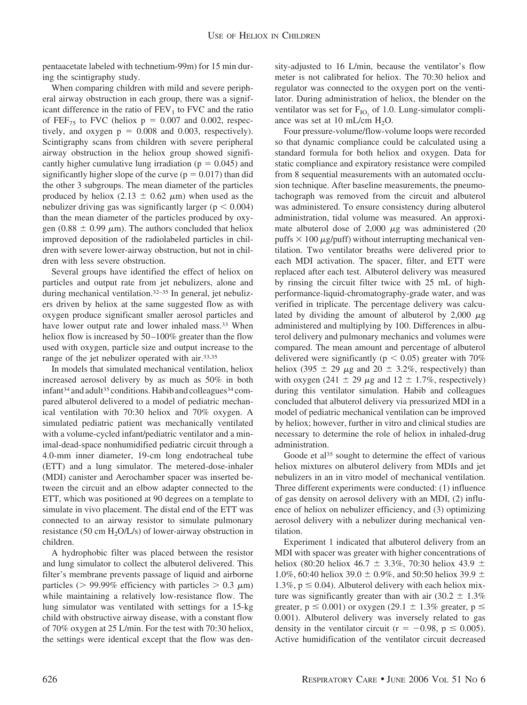pentaacetate labeled with technetium-99m) for 15 min during the scintigraphy study.

When comparing children with mild and severe peripheral airway obstruction in each group, there was a significant difference in the ratio of  $FEV<sub>1</sub>$  to FVC and the ratio of FEF<sub>75</sub> to FVC (heliox  $p = 0.007$  and 0.002, respectively, and oxygen  $p = 0.008$  and 0.003, respectively). Scintigraphy scans from children with severe peripheral airway obstruction in the heliox group showed significantly higher cumulative lung irradiation ( $p = 0.045$ ) and significantly higher slope of the curve ( $p = 0.017$ ) than did the other 3 subgroups. The mean diameter of the particles produced by heliox (2.13  $\pm$  0.62  $\mu$ m) when used as the nebulizer driving gas was significantly larger ( $p < 0.004$ ) than the mean diameter of the particles produced by oxygen (0.88  $\pm$  0.99  $\mu$ m). The authors concluded that heliox improved deposition of the radiolabeled particles in children with severe lower-airway obstruction, but not in children with less severe obstruction.

Several groups have identified the effect of heliox on particles and output rate from jet nebulizers, alone and during mechanical ventilation.<sup>32-35</sup> In general, jet nebulizers driven by heliox at the same suggested flow as with oxygen produce significant smaller aerosol particles and have lower output rate and lower inhaled mass.<sup>33</sup> When heliox flow is increased by 50–100% greater than the flow used with oxygen, particle size and output increase to the range of the jet nebulizer operated with air.<sup>33,35</sup>

In models that simulated mechanical ventilation, heliox increased aerosol delivery by as much as 50% in both infant<sup>34</sup> and adult<sup>35</sup> conditions. Habib and colleagues<sup>34</sup> compared albuterol delivered to a model of pediatric mechanical ventilation with 70:30 heliox and 70% oxygen. A simulated pediatric patient was mechanically ventilated with a volume-cycled infant/pediatric ventilator and a minimal-dead-space nonhumidified pediatric circuit through a 4.0-mm inner diameter, 19-cm long endotracheal tube (ETT) and a lung simulator. The metered-dose-inhaler (MDI) canister and Aerochamber spacer was inserted between the circuit and an elbow adapter connected to the ETT, which was positioned at 90 degrees on a template to simulate in vivo placement. The distal end of the ETT was connected to an airway resistor to simulate pulmonary resistance (50 cm  $H_2O/L/s$ ) of lower-airway obstruction in children.

A hydrophobic filter was placed between the resistor and lung simulator to collect the albuterol delivered. This filter's membrane prevents passage of liquid and airborne particles ( $> 99.99\%$  efficiency with particles  $> 0.3 \mu m$ ) while maintaining a relatively low-resistance flow. The lung simulator was ventilated with settings for a 15-kg child with obstructive airway disease, with a constant flow of 70% oxygen at 25 L/min. For the test with 70:30 heliox, the settings were identical except that the flow was density-adjusted to 16 L/min, because the ventilator's flow meter is not calibrated for heliox. The 70:30 heliox and regulator was connected to the oxygen port on the ventilator. During administration of heliox, the blender on the ventilator was set for  $F_{IO_2}$  of 1.0. Lung-simulator compliance was set at 10 mL/cm  $H_2O$ .

Four pressure-volume/flow-volume loops were recorded so that dynamic compliance could be calculated using a standard formula for both heliox and oxygen. Data for static compliance and expiratory resistance were compiled from 8 sequential measurements with an automated occlusion technique. After baseline measurements, the pneumotachograph was removed from the circuit and albuterol was administered. To ensure consistency during albuterol administration, tidal volume was measured. An approximate albuterol dose of  $2,000 \mu$ g was administered (20 puffs  $\times$  100  $\mu$ g/puff) without interrupting mechanical ventilation. Two ventilator breaths were delivered prior to each MDI activation. The spacer, filter, and ETT were replaced after each test. Albuterol delivery was measured by rinsing the circuit filter twice with 25 mL of highperformance-liquid-chromatography-grade water, and was verified in triplicate. The percentage delivery was calculated by dividing the amount of albuterol by  $2,000 \mu$ g administered and multiplying by 100. Differences in albuterol delivery and pulmonary mechanics and volumes were compared. The mean amount and percentage of albuterol delivered were significantly ( $p < 0.05$ ) greater with 70% heliox (395  $\pm$  29  $\mu$ g and 20  $\pm$  3.2%, respectively) than with oxygen (241  $\pm$  29  $\mu$ g and 12  $\pm$  1.7%, respectively) during this ventilator simulation. Habib and colleagues concluded that albuterol delivery via pressurized MDI in a model of pediatric mechanical ventilation can be improved by heliox; however, further in vitro and clinical studies are necessary to determine the role of heliox in inhaled-drug administration.

Goode et al<sup>35</sup> sought to determine the effect of various heliox mixtures on albuterol delivery from MDIs and jet nebulizers in an in vitro model of mechanical ventilation. Three different experiments were conducted: (1) influence of gas density on aerosol delivery with an MDI, (2) influence of heliox on nebulizer efficiency, and (3) optimizing aerosol delivery with a nebulizer during mechanical ventilation.

Experiment 1 indicated that albuterol delivery from an MDI with spacer was greater with higher concentrations of heliox (80:20 heliox 46.7  $\pm$  3.3%, 70:30 heliox 43.9  $\pm$ 1.0%, 60:40 heliox 39.0  $\pm$  0.9%, and 50:50 heliox 39.9  $\pm$ 1.3%,  $p \le 0.04$ ). Albuterol delivery with each heliox mixture was significantly greater than with air  $(30.2 \pm 1.3\%)$ greater,  $p \le 0.001$ ) or oxygen (29.1  $\pm$  1.3% greater,  $p \le$ 0.001). Albuterol delivery was inversely related to gas density in the ventilator circuit ( $r = -0.98$ ,  $p \le 0.005$ ). Active humidification of the ventilator circuit decreased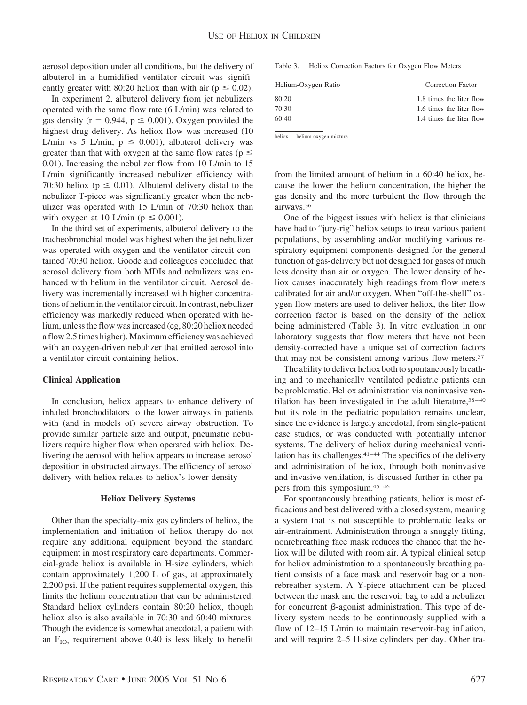aerosol deposition under all conditions, but the delivery of albuterol in a humidified ventilator circuit was significantly greater with 80:20 heliox than with air ( $p \le 0.02$ ).

In experiment 2, albuterol delivery from jet nebulizers operated with the same flow rate (6 L/min) was related to gas density ( $r = 0.944$ ,  $p \le 0.001$ ). Oxygen provided the highest drug delivery. As heliox flow was increased (10 L/min vs 5 L/min,  $p \le 0.001$ ), albuterol delivery was greater than that with oxygen at the same flow rates ( $p \leq$ 0.01). Increasing the nebulizer flow from 10 L/min to 15 L/min significantly increased nebulizer efficiency with 70:30 heliox ( $p \le 0.01$ ). Albuterol delivery distal to the nebulizer T-piece was significantly greater when the nebulizer was operated with 15 L/min of 70:30 heliox than with oxygen at 10 L/min ( $p \le 0.001$ ).

In the third set of experiments, albuterol delivery to the tracheobronchial model was highest when the jet nebulizer was operated with oxygen and the ventilator circuit contained 70:30 heliox. Goode and colleagues concluded that aerosol delivery from both MDIs and nebulizers was enhanced with helium in the ventilator circuit. Aerosol delivery was incrementally increased with higher concentrations of helium in the ventilator circuit. In contrast, nebulizer efficiency was markedly reduced when operated with helium, unless the flow was increased (eg, 80:20 heliox needed a flow 2.5 times higher). Maximum efficiency was achieved with an oxygen-driven nebulizer that emitted aerosol into a ventilator circuit containing heliox.

# **Clinical Application**

In conclusion, heliox appears to enhance delivery of inhaled bronchodilators to the lower airways in patients with (and in models of) severe airway obstruction. To provide similar particle size and output, pneumatic nebulizers require higher flow when operated with heliox. Delivering the aerosol with heliox appears to increase aerosol deposition in obstructed airways. The efficiency of aerosol delivery with heliox relates to heliox's lower density

# **Heliox Delivery Systems**

Other than the specialty-mix gas cylinders of heliox, the implementation and initiation of heliox therapy do not require any additional equipment beyond the standard equipment in most respiratory care departments. Commercial-grade heliox is available in H-size cylinders, which contain approximately 1,200 L of gas, at approximately 2,200 psi. If the patient requires supplemental oxygen, this limits the helium concentration that can be administered. Standard heliox cylinders contain 80:20 heliox, though heliox also is also available in 70:30 and 60:40 mixtures. Though the evidence is somewhat anecdotal, a patient with an  $F_{IO}$ , requirement above 0.40 is less likely to benefit

Table 3. Heliox Correction Factors for Oxygen Flow Meters

| Helium-Oxygen Ratio              | Correction Factor        |
|----------------------------------|--------------------------|
| 80:20                            | 1.8 times the liter flow |
| 70:30                            | 1.6 times the liter flow |
| 60:40                            | 1.4 times the liter flow |
| $heliox = helium-oxygen mixture$ |                          |

from the limited amount of helium in a 60:40 heliox, because the lower the helium concentration, the higher the gas density and the more turbulent the flow through the airways.36

One of the biggest issues with heliox is that clinicians have had to "jury-rig" heliox setups to treat various patient populations, by assembling and/or modifying various respiratory equipment components designed for the general function of gas-delivery but not designed for gases of much less density than air or oxygen. The lower density of heliox causes inaccurately high readings from flow meters calibrated for air and/or oxygen. When "off-the-shelf" oxygen flow meters are used to deliver heliox, the liter-flow correction factor is based on the density of the heliox being administered (Table 3). In vitro evaluation in our laboratory suggests that flow meters that have not been density-corrected have a unique set of correction factors that may not be consistent among various flow meters.<sup>37</sup>

The ability to deliver heliox both to spontaneously breathing and to mechanically ventilated pediatric patients can be problematic. Heliox administration via noninvasive ventilation has been investigated in the adult literature,  $38-40$ but its role in the pediatric population remains unclear, since the evidence is largely anecdotal, from single-patient case studies, or was conducted with potentially inferior systems. The delivery of heliox during mechanical ventilation has its challenges.41–44 The specifics of the delivery and administration of heliox, through both noninvasive and invasive ventilation, is discussed further in other papers from this symposium.45–46

For spontaneously breathing patients, heliox is most efficacious and best delivered with a closed system, meaning a system that is not susceptible to problematic leaks or air-entrainment. Administration through a snuggly fitting, nonrebreathing face mask reduces the chance that the heliox will be diluted with room air. A typical clinical setup for heliox administration to a spontaneously breathing patient consists of a face mask and reservoir bag or a nonrebreather system. A Y-piece attachment can be placed between the mask and the reservoir bag to add a nebulizer for concurrent  $\beta$ -agonist administration. This type of delivery system needs to be continuously supplied with a flow of 12–15 L/min to maintain reservoir-bag inflation, and will require 2–5 H-size cylinders per day. Other tra-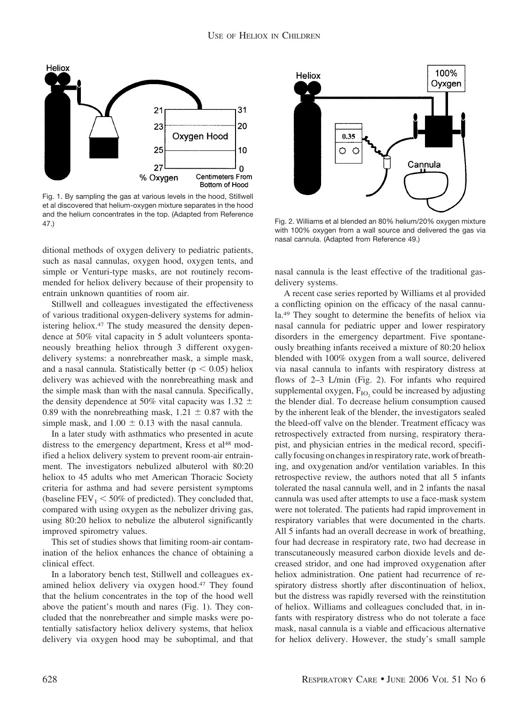

Fig. 1. By sampling the gas at various levels in the hood, Stillwell et al discovered that helium-oxygen mixture separates in the hood and the helium concentrates in the top. (Adapted from Reference 47.) Fig. 2. Williams et al blended an 80% helium/20% oxygen mixture

ditional methods of oxygen delivery to pediatric patients, such as nasal cannulas, oxygen hood, oxygen tents, and simple or Venturi-type masks, are not routinely recommended for heliox delivery because of their propensity to entrain unknown quantities of room air.

Stillwell and colleagues investigated the effectiveness of various traditional oxygen-delivery systems for administering heliox.<sup>47</sup> The study measured the density dependence at 50% vital capacity in 5 adult volunteers spontaneously breathing heliox through 3 different oxygendelivery systems: a nonrebreather mask, a simple mask, and a nasal cannula. Statistically better ( $p < 0.05$ ) heliox delivery was achieved with the nonrebreathing mask and the simple mask than with the nasal cannula. Specifically, the density dependence at 50% vital capacity was 1.32  $\pm$ 0.89 with the nonrebreathing mask,  $1.21 \pm 0.87$  with the simple mask, and  $1.00 \pm 0.13$  with the nasal cannula.

In a later study with asthmatics who presented in acute distress to the emergency department, Kress et al<sup>48</sup> modified a heliox delivery system to prevent room-air entrainment. The investigators nebulized albuterol with 80:20 heliox to 45 adults who met American Thoracic Society criteria for asthma and had severe persistent symptoms (baseline  $FEV_1 < 50\%$  of predicted). They concluded that, compared with using oxygen as the nebulizer driving gas, using 80:20 heliox to nebulize the albuterol significantly improved spirometry values.

This set of studies shows that limiting room-air contamination of the heliox enhances the chance of obtaining a clinical effect.

In a laboratory bench test, Stillwell and colleagues examined heliox delivery via oxygen hood.47 They found that the helium concentrates in the top of the hood well above the patient's mouth and nares (Fig. 1). They concluded that the nonrebreather and simple masks were potentially satisfactory heliox delivery systems, that heliox delivery via oxygen hood may be suboptimal, and that



with 100% oxygen from a wall source and delivered the gas via nasal cannula. (Adapted from Reference 49.)

nasal cannula is the least effective of the traditional gasdelivery systems.

A recent case series reported by Williams et al provided a conflicting opinion on the efficacy of the nasal cannula.49 They sought to determine the benefits of heliox via nasal cannula for pediatric upper and lower respiratory disorders in the emergency department. Five spontaneously breathing infants received a mixture of 80:20 heliox blended with 100% oxygen from a wall source, delivered via nasal cannula to infants with respiratory distress at flows of 2–3 L/min (Fig. 2). For infants who required supplemental oxygen,  $F_{IO}$  could be increased by adjusting the blender dial. To decrease helium consumption caused by the inherent leak of the blender, the investigators sealed the bleed-off valve on the blender. Treatment efficacy was retrospectively extracted from nursing, respiratory therapist, and physician entries in the medical record, specifically focusing on changes in respiratory rate, work of breathing, and oxygenation and/or ventilation variables. In this retrospective review, the authors noted that all 5 infants tolerated the nasal cannula well, and in 2 infants the nasal cannula was used after attempts to use a face-mask system were not tolerated. The patients had rapid improvement in respiratory variables that were documented in the charts. All 5 infants had an overall decrease in work of breathing, four had decrease in respiratory rate, two had decrease in transcutaneously measured carbon dioxide levels and decreased stridor, and one had improved oxygenation after heliox administration. One patient had recurrence of respiratory distress shortly after discontinuation of heliox, but the distress was rapidly reversed with the reinstitution of heliox. Williams and colleagues concluded that, in infants with respiratory distress who do not tolerate a face mask, nasal cannula is a viable and efficacious alternative for heliox delivery. However, the study's small sample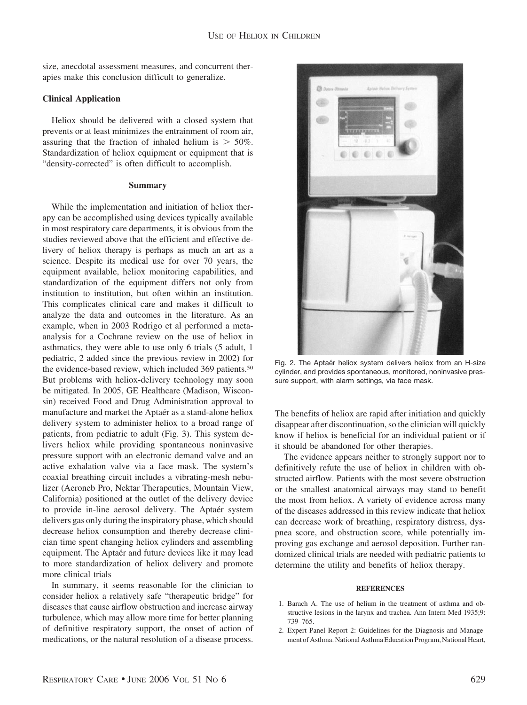size, anecdotal assessment measures, and concurrent therapies make this conclusion difficult to generalize.

# **Clinical Application**

Heliox should be delivered with a closed system that prevents or at least minimizes the entrainment of room air, assuring that the fraction of inhaled helium is  $> 50\%$ . Standardization of heliox equipment or equipment that is "density-corrected" is often difficult to accomplish.

## **Summary**

While the implementation and initiation of heliox therapy can be accomplished using devices typically available in most respiratory care departments, it is obvious from the studies reviewed above that the efficient and effective delivery of heliox therapy is perhaps as much an art as a science. Despite its medical use for over 70 years, the equipment available, heliox monitoring capabilities, and standardization of the equipment differs not only from institution to institution, but often within an institution. This complicates clinical care and makes it difficult to analyze the data and outcomes in the literature. As an example, when in 2003 Rodrigo et al performed a metaanalysis for a Cochrane review on the use of heliox in asthmatics, they were able to use only 6 trials (5 adult, 1 pediatric, 2 added since the previous review in 2002) for the evidence-based review, which included 369 patients.<sup>50</sup> But problems with heliox-delivery technology may soon be mitigated. In 2005, GE Healthcare (Madison, Wisconsin) received Food and Drug Administration approval to manufacture and market the Aptaér as a stand-alone heliox delivery system to administer heliox to a broad range of patients, from pediatric to adult (Fig. 3). This system delivers heliox while providing spontaneous noninvasive pressure support with an electronic demand valve and an active exhalation valve via a face mask. The system's coaxial breathing circuit includes a vibrating-mesh nebulizer (Aeroneb Pro, Nektar Therapeutics, Mountain View, California) positioned at the outlet of the delivery device to provide in-line aerosol delivery. The Aptaér system delivers gas only during the inspiratory phase, which should decrease heliox consumption and thereby decrease clinician time spent changing heliox cylinders and assembling equipment. The Aptaér and future devices like it may lead to more standardization of heliox delivery and promote more clinical trials

In summary, it seems reasonable for the clinician to consider heliox a relatively safe "therapeutic bridge" for diseases that cause airflow obstruction and increase airway turbulence, which may allow more time for better planning of definitive respiratory support, the onset of action of medications, or the natural resolution of a disease process.



Fig. 2. The Aptaér heliox system delivers heliox from an H-size cylinder, and provides spontaneous, monitored, noninvasive pressure support, with alarm settings, via face mask.

The benefits of heliox are rapid after initiation and quickly disappear after discontinuation, so the clinician will quickly know if heliox is beneficial for an individual patient or if it should be abandoned for other therapies.

The evidence appears neither to strongly support nor to definitively refute the use of heliox in children with obstructed airflow. Patients with the most severe obstruction or the smallest anatomical airways may stand to benefit the most from heliox. A variety of evidence across many of the diseases addressed in this review indicate that heliox can decrease work of breathing, respiratory distress, dyspnea score, and obstruction score, while potentially improving gas exchange and aerosol deposition. Further randomized clinical trials are needed with pediatric patients to determine the utility and benefits of heliox therapy.

# **REFERENCES**

- 1. Barach A. The use of helium in the treatment of asthma and obstructive lesions in the larynx and trachea. Ann Intern Med 1935;9: 739–765.
- 2. Expert Panel Report 2: Guidelines for the Diagnosis and Management of Asthma. National Asthma Education Program, National Heart,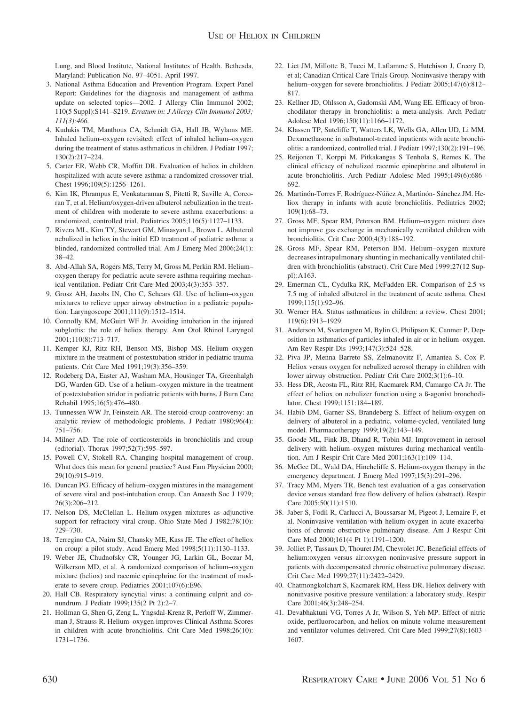Lung, and Blood Institute, National Institutes of Health. Bethesda, Maryland: Publication No. 97–4051. April 1997.

- 3. National Asthma Education and Prevention Program. Expert Panel Report: Guidelines for the diagnosis and management of asthma update on selected topics—2002. J Allergy Clin Immunol 2002; 110(5 Suppl):S141–S219. *Erratum in: J Allergy Clin Immunol 2003; 111(3):466.*
- 4. Kudukis TM, Manthous CA, Schmidt GA, Hall JB, Wylams ME. Inhaled helium–oxygen revisited: effect of inhaled helium–oxygen during the treatment of status asthmaticus in children. J Pediatr 1997; 130(2):217–224.
- 5. Carter ER, Webb CR, Moffitt DR. Evaluation of heliox in children hospitalized with acute severe asthma: a randomized crossover trial. Chest 1996;109(5):1256–1261.
- 6. Kim IK, Phrampus E, Venkataraman S, Pitetti R, Saville A, Corcoran T, et al. Helium/oxygen-driven albuterol nebulization in the treatment of children with moderate to severe asthma exacerbations: a randomized, controlled trial. Pediatrics 2005;116(5):1127–1133.
- 7. Rivera ML, Kim TY, Stewart GM, Minasyan L, Brown L. Albuterol nebulized in heliox in the initial ED treatment of pediatric asthma: a blinded, randomized controlled trial. Am J Emerg Med 2006;24(1): 38–42.
- 8. Abd-Allah SA, Rogers MS, Terry M, Gross M, Perkin RM. Helium– oxygen therapy for pediatric acute severe asthma requiring mechanical ventilation. Pediatr Crit Care Med 2003;4(3):353–357.
- 9. Grosz AH, Jacobs IN, Cho C, Schears GJ. Use of helium–oxygen mixtures to relieve upper airway obstruction in a pediatric population. Laryngoscope 2001;111(9):1512–1514.
- 10. Connolly KM, McGuirt WF Jr. Avoiding intubation in the injured subglottis: the role of heliox therapy. Ann Otol Rhinol Laryngol 2001;110(8):713–717.
- 11. Kemper KJ, Ritz RH, Benson MS, Bishop MS. Helium–oxygen mixture in the treatment of postextubation stridor in pediatric trauma patients. Crit Care Med 1991;19(3):356–359.
- 12. Rodeberg DA, Easter AJ, Washam MA, Housinger TA, Greenhalgh DG, Warden GD. Use of a helium–oxygen mixture in the treatment of postextubation stridor in pediatric patients with burns. J Burn Care Rehabil 1995;16(5):476–480.
- 13. Tunnessen WW Jr, Feinstein AR. The steroid-croup controversy: an analytic review of methodologic problems. J Pediatr 1980;96(4): 751–756.
- 14. Milner AD. The role of corticosteroids in bronchiolitis and croup (editorial). Thorax 1997;52(7):595–597.
- 15. Powell CV, Stokell RA. Changing hospital management of croup. What does this mean for general practice? Aust Fam Physician 2000; 29(10):915–919.
- 16. Duncan PG. Efficacy of helium–oxygen mixtures in the management of severe viral and post-intubation croup. Can Anaesth Soc J 1979; 26(3):206–212.
- 17. Nelson DS, McClellan L. Helium-oxygen mixtures as adjunctive support for refractory viral croup. Ohio State Med J 1982;78(10): 729–730.
- 18. Terregino CA, Nairn SJ, Chansky ME, Kass JE. The effect of heliox on croup: a pilot study. Acad Emerg Med 1998;5(11):1130–1133.
- 19. Weber JE, Chudnofsky CR, Younger JG, Larkin GL, Boczar M, Wilkerson MD, et al. A randomized comparison of helium–oxygen mixture (heliox) and racemic epinephrine for the treatment of moderate to severe croup. Pediatrics 2001;107(6):E96.
- 20. Hall CB. Respiratory syncytial virus: a continuing culprit and conundrum. J Pediatr 1999;135(2 Pt 2):2–7.
- 21. Hollman G, Shen G, Zeng L, Yngsdal-Krenz R, Perloff W, Zimmerman J, Strauss R. Helium–oxygen improves Clinical Asthma Scores in children with acute bronchiolitis. Crit Care Med 1998;26(10): 1731–1736.
- 22. Liet JM, Millotte B, Tucci M, Laflamme S, Hutchison J, Creery D, et al; Canadian Critical Care Trials Group. Noninvasive therapy with helium–oxygen for severe bronchiolitis. J Pediatr 2005;147(6):812– 817.
- 23. Kellner JD, Ohlsson A, Gadomski AM, Wang EE. Efficacy of bronchodilator therapy in bronchiolitis: a meta-analysis. Arch Pediatr Adolesc Med 1996;150(11):1166–1172.
- 24. Klassen TP, Sutcliffe T, Watters LK, Wells GA, Allen UD, Li MM. Dexamethasone in salbutamol-treated inpatients with acute bronchiolitis: a randomized, controlled trial. J Pediatr 1997;130(2):191–196.
- 25. Reijonen T, Korppi M, Pitkakangas S Tenhola S, Remes K. The clinical efficacy of nebulized racemic epinephrine and albuterol in acute bronchiolitis. Arch Pediatr Adolesc Med 1995;149(6):686– 692.
- 26. Martinón-Torres F, Rodríguez-Núñez A, Martinón- Sánchez JM. Heliox therapy in infants with acute bronchiolitis. Pediatrics 2002; 109(1):68–73.
- 27. Gross MF, Spear RM, Peterson BM. Helium–oxygen mixture does not improve gas exchange in mechanically ventilated children with bronchiolitis. Crit Care 2000;4(3):188–192.
- 28. Gross MF, Spear RM, Peterson BM. Helium–oxygen mixture decreases intrapulmonary shunting in mechanically ventilated children with bronchiolitis (abstract). Crit Care Med 1999;27(12 Suppl):A163.
- 29. Emerman CL, Cydulka RK, McFadden ER. Comparison of 2.5 vs 7.5 mg of inhaled albuterol in the treatment of acute asthma. Chest 1999;115(1):92–96.
- 30. Werner HA. Status asthmaticus in children: a review. Chest 2001; 119(6):1913–1929.
- 31. Anderson M, Svartengren M, Bylin G, Philipson K, Canmer P. Deposition in asthmatics of particles inhaled in air or in helium–oxygen. Am Rev Respir Dis 1993;147(3):524–528.
- 32. Piva JP, Menna Barreto SS, Zelmanovitz F, Amantea S, Cox P. Heliox versus oxygen for nebulized aerosol therapy in children with lower airway obstruction. Pediatr Crit Care 2002;3(1):6–10.
- 33. Hess DR, Acosta FL, Ritz RH, Kacmarek RM, Camargo CA Jr. The effect of heliox on nebulizer function using a ß-agonist bronchodilator. Chest 1999;1151:184–189.
- 34. Habib DM, Garner SS, Brandeberg S. Effect of helium-oxygen on delivery of albuterol in a pediatric, volume-cycled, ventilated lung model. Pharmacotherapy 1999;19(2):143–149.
- 35. Goode ML, Fink JB, Dhand R, Tobin MJ. Improvement in aerosol delivery with helium–oxygen mixtures during mechanical ventilation. Am J Respir Crit Care Med 2001;163(1):109–114.
- 36. McGee DL, Wald DA, Hinchcliffe S. Helium-oxygen therapy in the emergency department. J Emerg Med 1997;15(3):291–296.
- 37. Tracy MM, Myers TR. Bench test evaluation of a gas conservation device versus standard free flow delivery of heliox (abstract). Respir Care 2005;50(11):1510.
- 38. Jaber S, Fodil R, Carlucci A, Boussarsar M, Pigeot J, Lemaire F, et al. Noninvasive ventilation with helium-oxygen in acute exacerbations of chronic obstructive pulmonary disease. Am J Respir Crit Care Med 2000;161(4 Pt 1):1191–1200.
- 39. Jolliet P, Tassaux D, Thouret JM, Chevrolet JC. Beneficial effects of helium:oxygen versus air:oxygen noninvasive pressure support in patients with decompensated chronic obstructive pulmonary disease. Crit Care Med 1999;27(11):2422–2429.
- 40. Chatmongkolchart S, Kacmarek RM, Hess DR. Heliox delivery with noninvasive positive pressure ventilation: a laboratory study. Respir Care 2001;46(3):248–254.
- 41. Devabhaktuni VG, Torres A Jr, Wilson S, Yeh MP. Effect of nitric oxide, perfluorocarbon, and heliox on minute volume measurement and ventilator volumes delivered. Crit Care Med 1999;27(8):1603– 1607.